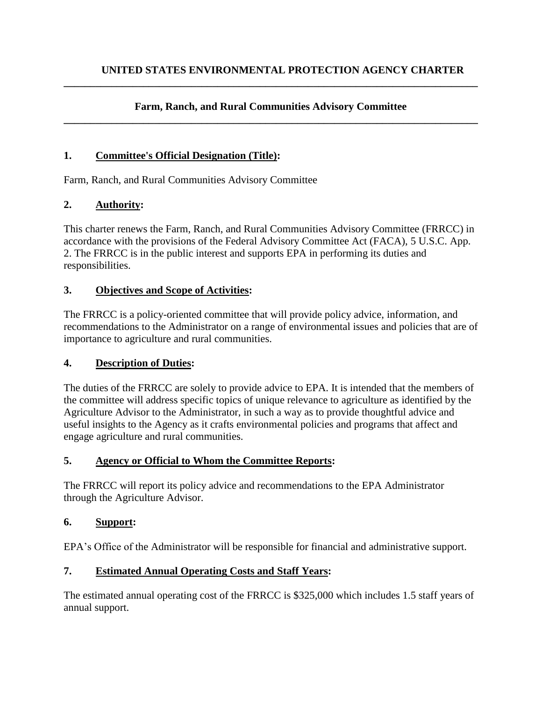#### **Farm, Ranch, and Rural Communities Advisory Committee \_\_\_\_\_\_\_\_\_\_\_\_\_\_\_\_\_\_\_\_\_\_\_\_\_\_\_\_\_\_\_\_\_\_\_\_\_\_\_\_\_\_\_\_\_\_\_\_\_\_\_\_\_\_\_\_\_\_\_\_\_\_\_\_\_\_\_\_\_\_\_\_\_\_\_\_\_\_**

**\_\_\_\_\_\_\_\_\_\_\_\_\_\_\_\_\_\_\_\_\_\_\_\_\_\_\_\_\_\_\_\_\_\_\_\_\_\_\_\_\_\_\_\_\_\_\_\_\_\_\_\_\_\_\_\_\_\_\_\_\_\_\_\_\_\_\_\_\_\_\_\_\_\_\_\_\_\_**

#### **1. Committee's Official Designation (Title):**

Farm, Ranch, and Rural Communities Advisory Committee

#### **2. Authority:**

This charter renews the Farm, Ranch, and Rural Communities Advisory Committee (FRRCC) in accordance with the provisions of the Federal Advisory Committee Act (FACA), 5 U.S.C. App. 2. The FRRCC is in the public interest and supports EPA in performing its duties and responsibilities.

#### **3. Objectives and Scope of Activities:**

The FRRCC is a policy-oriented committee that will provide policy advice, information, and recommendations to the Administrator on a range of environmental issues and policies that are of importance to agriculture and rural communities.

#### **4. Description of Duties:**

The duties of the FRRCC are solely to provide advice to EPA. It is intended that the members of the committee will address specific topics of unique relevance to agriculture as identified by the Agriculture Advisor to the Administrator, in such a way as to provide thoughtful advice and useful insights to the Agency as it crafts environmental policies and programs that affect and engage agriculture and rural communities.

#### **5. Agency or Official to Whom the Committee Reports:**

The FRRCC will report its policy advice and recommendations to the EPA Administrator through the Agriculture Advisor.

#### **6. Support:**

EPA's Office of the Administrator will be responsible for financial and administrative support.

## **7. Estimated Annual Operating Costs and Staff Years:**

The estimated annual operating cost of the FRRCC is \$325,000 which includes 1.5 staff years of annual support.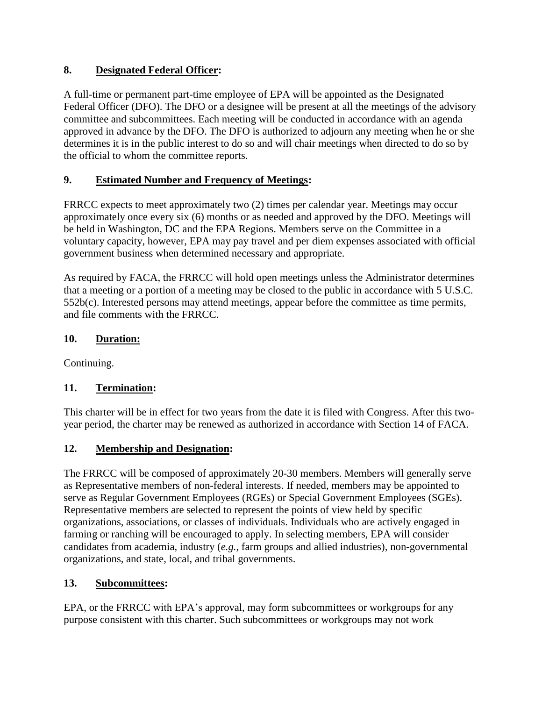## **8. Designated Federal Officer:**

A full-time or permanent part-time employee of EPA will be appointed as the Designated Federal Officer (DFO). The DFO or a designee will be present at all the meetings of the advisory committee and subcommittees. Each meeting will be conducted in accordance with an agenda approved in advance by the DFO. The DFO is authorized to adjourn any meeting when he or she determines it is in the public interest to do so and will chair meetings when directed to do so by the official to whom the committee reports.

# **9. Estimated Number and Frequency of Meetings:**

FRRCC expects to meet approximately two (2) times per calendar year. Meetings may occur approximately once every six (6) months or as needed and approved by the DFO. Meetings will be held in Washington, DC and the EPA Regions. Members serve on the Committee in a voluntary capacity, however, EPA may pay travel and per diem expenses associated with official government business when determined necessary and appropriate.

As required by FACA, the FRRCC will hold open meetings unless the Administrator determines that a meeting or a portion of a meeting may be closed to the public in accordance with 5 U.S.C. 552b(c). Interested persons may attend meetings, appear before the committee as time permits, and file comments with the FRRCC.

## **10. Duration:**

Continuing.

## **11. Termination:**

This charter will be in effect for two years from the date it is filed with Congress. After this twoyear period, the charter may be renewed as authorized in accordance with Section 14 of FACA.

## **12. Membership and Designation:**

The FRRCC will be composed of approximately 20-30 members. Members will generally serve as Representative members of non-federal interests. If needed, members may be appointed to serve as Regular Government Employees (RGEs) or Special Government Employees (SGEs). Representative members are selected to represent the points of view held by specific organizations, associations, or classes of individuals. Individuals who are actively engaged in farming or ranching will be encouraged to apply. In selecting members, EPA will consider candidates from academia, industry (*e.g.*, farm groups and allied industries), non-governmental organizations, and state, local, and tribal governments.

## **13. Subcommittees:**

EPA, or the FRRCC with EPA's approval, may form subcommittees or workgroups for any purpose consistent with this charter. Such subcommittees or workgroups may not work